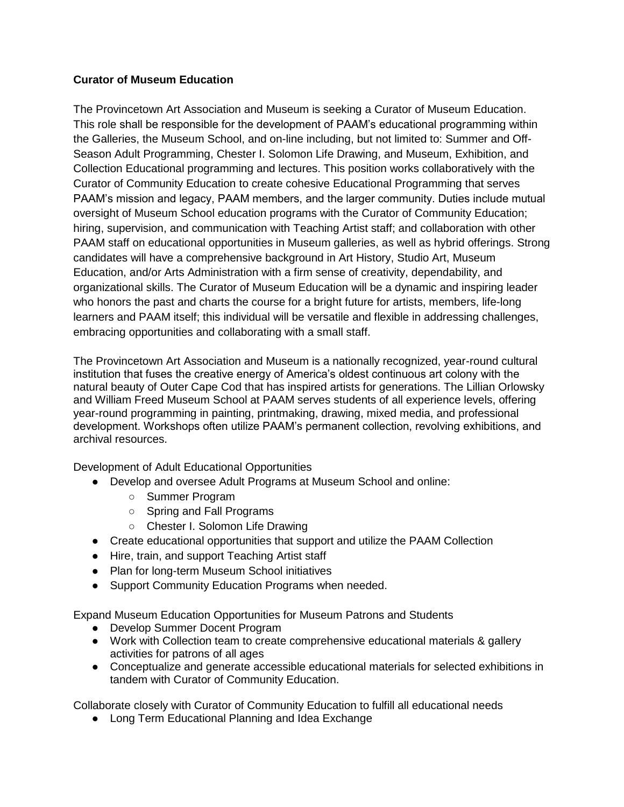## **Curator of Museum Education**

The Provincetown Art Association and Museum is seeking a Curator of Museum Education. This role shall be responsible for the development of PAAM's educational programming within the Galleries, the Museum School, and on-line including, but not limited to: Summer and Off-Season Adult Programming, Chester I. Solomon Life Drawing, and Museum, Exhibition, and Collection Educational programming and lectures. This position works collaboratively with the Curator of Community Education to create cohesive Educational Programming that serves PAAM's mission and legacy, PAAM members, and the larger community. Duties include mutual oversight of Museum School education programs with the Curator of Community Education; hiring, supervision, and communication with Teaching Artist staff; and collaboration with other PAAM staff on educational opportunities in Museum galleries, as well as hybrid offerings. Strong candidates will have a comprehensive background in Art History, Studio Art, Museum Education, and/or Arts Administration with a firm sense of creativity, dependability, and organizational skills. The Curator of Museum Education will be a dynamic and inspiring leader who honors the past and charts the course for a bright future for artists, members, life-long learners and PAAM itself; this individual will be versatile and flexible in addressing challenges, embracing opportunities and collaborating with a small staff.

The Provincetown Art Association and Museum is a nationally recognized, year-round cultural institution that fuses the creative energy of America's oldest continuous art colony with the natural beauty of Outer Cape Cod that has inspired artists for generations. The Lillian Orlowsky and William Freed Museum School at PAAM serves students of all experience levels, offering year-round programming in painting, printmaking, drawing, mixed media, and professional development. Workshops often utilize PAAM's permanent collection, revolving exhibitions, and archival resources.

Development of Adult Educational Opportunities

- Develop and oversee Adult Programs at Museum School and online:
	- Summer Program
	- Spring and Fall Programs
	- Chester I. Solomon Life Drawing
- Create educational opportunities that support and utilize the PAAM Collection
- Hire, train, and support Teaching Artist staff
- Plan for long-term Museum School initiatives
- Support Community Education Programs when needed.

Expand Museum Education Opportunities for Museum Patrons and Students

- Develop Summer Docent Program
- Work with Collection team to create comprehensive educational materials & gallery activities for patrons of all ages
- Conceptualize and generate accessible educational materials for selected exhibitions in tandem with Curator of Community Education.

Collaborate closely with Curator of Community Education to fulfill all educational needs

• Long Term Educational Planning and Idea Exchange